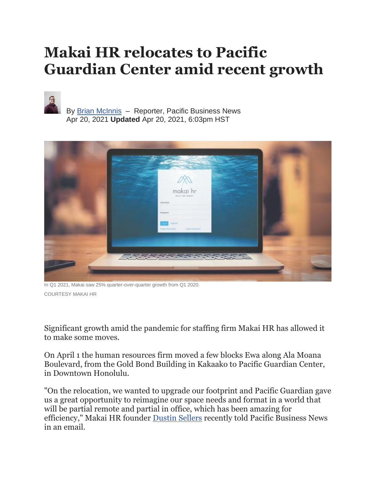## **Makai HR relocates to Pacific Guardian Center amid recent growth**



By Brian [McInnis](https://www.bizjournals.com/pacific/bio/41873/Brian+McInnis) – Reporter, Pacific Business News Apr 20, 2021 **Updated** Apr 20, 2021, 6:03pm HST



In Q1 2021, Makai saw 25% quarter-over-quarter growth from Q1 2020. COURTESY MAKAI HR

Significant growth amid the pandemic for staffing firm Makai HR has allowed it to make some moves.

On April 1 the human resources firm moved a few blocks Ewa along Ala Moana Boulevard, from the Gold Bond Building in Kakaako to Pacific Guardian Center, in Downtown Honolulu.

"On the relocation, we wanted to upgrade our footprint and Pacific Guardian gave us a great opportunity to reimagine our space needs and format in a world that will be partial remote and partial in office, which has been amazing for efficiency," Makai HR founder [Dustin Sellers](https://www.bizjournals.com/pacific/search/results?q=Dustin%20Sellers) recently told Pacific Business News in an email.